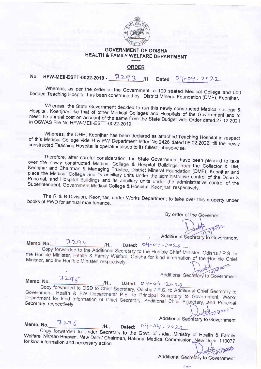

## **GOVERNMENT OF ODISHA** HEALTH & FAMILY WELFARE DEPARTMENT

### **ORDER**

#### HFW-MEII-ESTT-0022-2019 - 7293 /H No. Dated  $04 - 04 - 2022$

Whereas, as per the order of the Government, a 100 seated Medical College and 500 bedded Teaching Hospital has been constructed by District Mineral Foundation (DMF), Keonjhar.

Whereas, the State Government decided to run this newly constructed Medical College & Hospital, Koenjhar like that of other Medical Colleges and Hospitals of the Government and to meet the annual cost on account of the same from the State Budget vide Order dated 27.12.2021 in OSWAS File No.HFW-MEII-ESTT-0022-2019.

Whereas, the DHH, Keonjhar has been declared as attached Teaching Hospital in respect of this Medical College vide H & FW Department letter No.2426 dated.08.02.2022, till the newly constructed Teaching Hospital is operationalised to its fullest, phase-wise.

Therefore, after careful consideration, the State Government have been pleased to take over the newly constructed Medical College & Hospital Buildings from the Collector & DM, Keonjhar and Chairman & Managing Trustee, District Mineral Foundation (DMF), Keonjhar and place the Medical College and its ancillary units under the administrative control of the Dean & Principal, and Hospital Buildings and its ancillary units under the administrative control of the Superintendent, Government Medical College & Hospital, Keonjhar, respectively.

The R & B Division, Keonjhar, under Works Department to take over this property under books of PWD for annual maintenance.

By order of the Governor

Additional Secretary to Government

Memo, No.

 $7294$ 

### Dated:  $04 - 04 - 2029$

Copy forwarded to the Additional Secretary to the Hon'ble Chief Minister, Odisha / P.S. to the Hon'ble Minister, Health & Family Welfare, Odisha for kind information of the Hon'ble Chief Minister, and the Hon'ble Minister, respectively.

/H.,

Additional Secretary to Government

Memo. No. 7295 /H., Dated: 04-04-2022

Copy forwarded to OSD to Chief Secretary, Odisha / P.S. to Additional Chief Secretary to Government, Health & FW Department/ P.S. to Principal Secretary to Government, Works Department for kind information of Chief Secretary, Additional Chief Secretary, and Principal Secretary, respectively.  $10^{10}$ 

Memo. No. 7296

Additional Secretary to Government

Dated:  $04 - 04 - 2022$  $/H_{\odot}$ Copy forwarded to Under Secretary to the Govt. of India, Ministry of Health & Family Welfare, Nirman Bhavan, New Delhi/ Chairman, National Medical Commission, New Delhi, 110077 for kind information and necessary action. 114/2020

Additional Secretary to Government